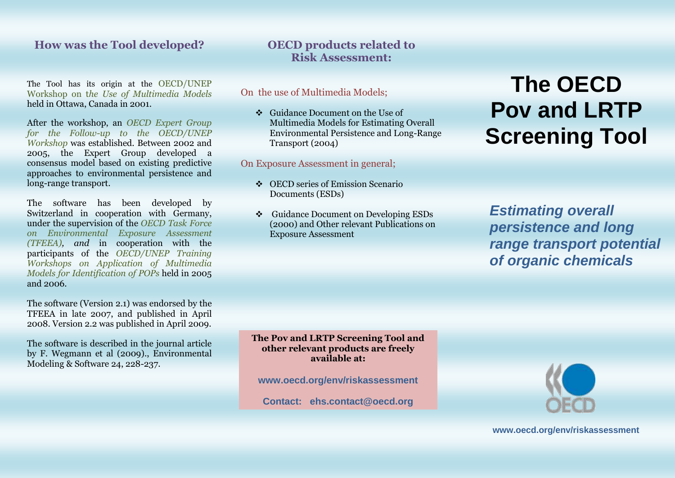### **How was the Tool developed?**

The Tool has its origin at the OECD/UNEP Workshop on t*he Use of Multimedia Models* held in Ottawa, Canada in 2001.

After the workshop, an *OECD Expert Group for the Follow-up to the OECD/UNEP Workshop* was established. Between 2002 and 2005, the Expert Group developed a consensus model based on existing predictive approaches to environmental persistence and long-range transport.

The software has been developed by Switzerland in cooperation with Germany, under the supervision of the *OECD Task Force on Environmental Exposure Assessment (TFEEA), and* in cooperation with the participants of the *OECD/UNEP Training Workshops on Application of Multimedia Models for Identification of POPs* held in 2005 and 2006.

The software (Version 2.1) was endorsed by the TFEEA in late 2007, and published in April 2008. Version 2.2 was published in April 2009.

The software is described in the journal article by F. Wegmann et al (2009)., Environmental Modeling & Software 24, 228-237.

# **OECD products related to Risk Assessment:**

On the use of Multimedia Models;

 Guidance Document on the Use of Multimedia Models for Estimating Overall Environmental Persistence and Long-Range Transport (2004)

On Exposure Assessment in general;

- ◆ OECD series of Emission Scenario Documents (ESDs)
- Guidance Document on Developing ESDs (2000) and Other relevant Publications on Exposure Assessment

# **The OECD Pov and LRTP Screening Tool**

*Estimating overall persistence and long range transport potential of organic chemicals*

**The Pov and LRTP Screening Tool and other relevant products are freely available at:**

**www.oecd.org/env/riskassessment**

**Contact: ehs.contact@oecd.org**



**www.oecd.org/env/riskassessment**